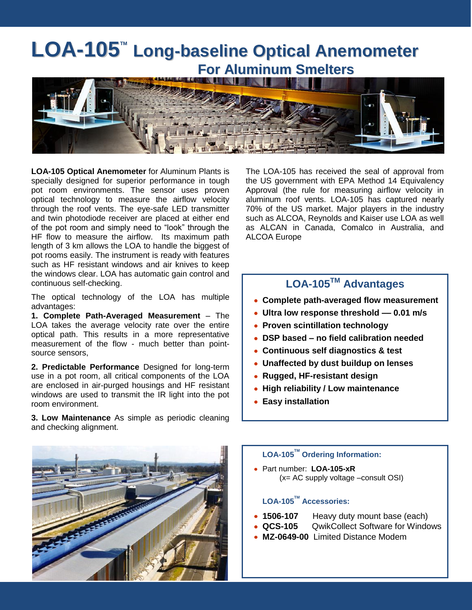## **LOA-105<sup>™</sup> Long-baseline Optical Anemometer For Aluminum Smelters**



**LOA-105 Optical Anemometer** for Aluminum Plants is specially designed for superior performance in tough pot room environments. The sensor uses proven optical technology to measure the airflow velocity through the roof vents. The eye-safe LED transmitter and twin photodiode receiver are placed at either end of the pot room and simply need to "look" through the HF flow to measure the airflow. Its maximum path length of 3 km allows the LOA to handle the biggest of pot rooms easily. The instrument is ready with features such as HF resistant windows and air knives to keep the windows clear. LOA has automatic gain control and continuous self-checking.

The optical technology of the LOA has multiple advantages:

**1. Complete Path-Averaged Measurement** – The LOA takes the average velocity rate over the entire optical path. This results in a more representative measurement of the flow - much better than pointsource sensors,

**2. Predictable Performance** Designed for long-term use in a pot room, all critical components of the LOA are enclosed in air-purged housings and HF resistant windows are used to transmit the IR light into the pot room environment.

**3. Low Maintenance** As simple as periodic cleaning and checking alignment.

The LOA-105 has received the seal of approval from the US government with EPA Method 14 Equivalency Approval (the rule for measuring airflow velocity in aluminum roof vents. LOA-105 has captured nearly 70% of the US market. Major players in the industry such as ALCOA, Reynolds and Kaiser use LOA as well as ALCAN in Canada, Comalco in Australia, and ALCOA Europe

### **LOA-105TM Advantages**

- **Complete path-averaged flow measurement**
- **Ultra low response threshold –– 0.01 m/s**
- **Proven scintillation technology**
- **DSP based – no field calibration needed**
- **Continuous self diagnostics & test**
- **Unaffected by dust buildup on lenses**
- **Rugged, HF-resistant design**
- **High reliability / Low maintenance**
- **Easy installation**



#### **LOA-105TM Ordering Information:**

Part number: **LOA-105-xR** (x= AC supply voltage –consult OSI)

### **LOA-105TM Accessories:**

- **1506-107** Heavy duty mount base (each)
- **QCS-105** QwikCollect Software for Windows
- **MZ-0649-00** Limited Distance Modem